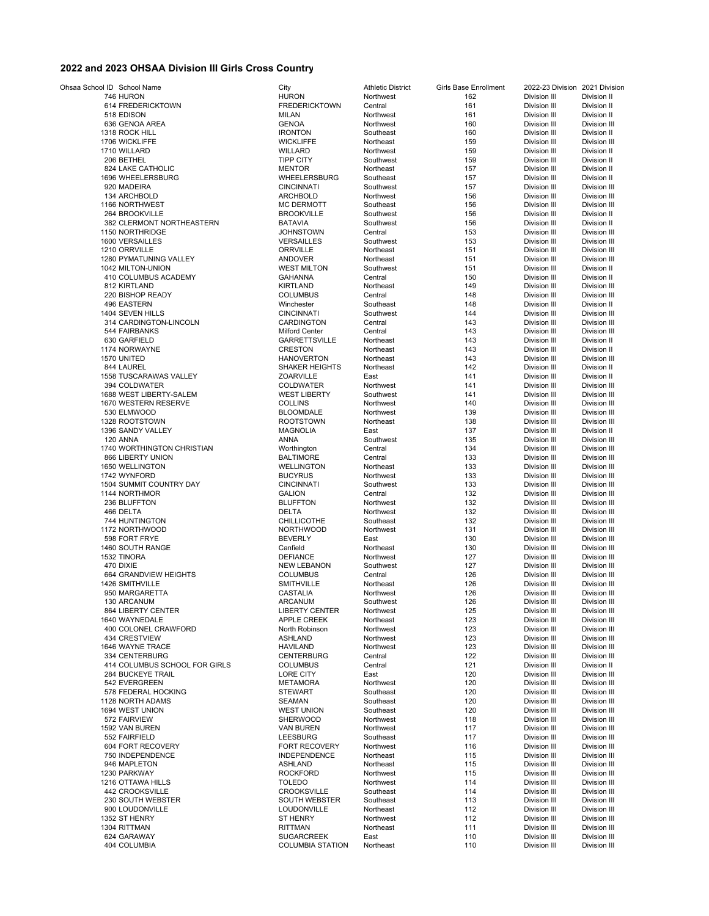## **2022 and 2023 OHSAA Division III Girls Cross Country**

| Ohsaa School ID School Name   | City                    | <b>Athletic District</b> | Girls Base Enrollment | 2022-23 Division 2021 Division |                     |
|-------------------------------|-------------------------|--------------------------|-----------------------|--------------------------------|---------------------|
| 746 HURON                     | <b>HURON</b>            | Northwest                | 162                   | Division III                   | Division II         |
| 614 FREDERICKTOWN             | <b>FREDERICKTOWN</b>    | Central                  | 161                   | <b>Division III</b>            | Division II         |
| 518 EDISON                    | <b>MILAN</b>            | Northwest                | 161                   | Division III                   | Division II         |
| 636 GENOA AREA                | <b>GENOA</b>            | Northwest                | 160                   | Division III                   | <b>Division III</b> |
| 1318 ROCK HILL                | <b>IRONTON</b>          | Southeast                | 160                   | Division III                   | Division II         |
| 1706 WICKLIFFE                | <b>WICKLIFFE</b>        | Northeast                | 159                   | Division III                   | Division III        |
| 1710 WILLARD                  | <b>WILLARD</b>          | Northwest                | 159                   | <b>Division III</b>            | Division II         |
| 206 BETHEL                    | <b>TIPP CITY</b>        | Southwest                | 159                   | Division III                   | Division II         |
| 824 LAKE CATHOLIC             | <b>MENTOR</b>           | Northeast                | 157                   | Division III                   | Division II         |
| 1696 WHEELERSBURG             | <b>WHEELERSBURG</b>     | Southeast                | 157                   | Division III                   | Division II         |
| 920 MADEIRA                   | <b>CINCINNATI</b>       | Southwest                | 157                   | Division III                   | Division III        |
| 134 ARCHBOLD                  | <b>ARCHBOLD</b>         | Northwest                | 156                   | Division III                   | Division III        |
| 1166 NORTHWEST                | <b>MC DERMOTT</b>       | Southeast                | 156                   | Division III                   | Division III        |
| 264 BROOKVILLE                | <b>BROOKVILLE</b>       | Southwest                | 156                   | Division III                   | Division II         |
| 382 CLERMONT NORTHEASTERN     | <b>BATAVIA</b>          | Southwest                | 156                   | Division III                   | Division II         |
| 1150 NORTHRIDGE               | <b>JOHNSTOWN</b>        | Central                  | 153                   | Division III                   | Division III        |
| 1600 VERSAILLES               | <b>VERSAILLES</b>       | Southwest                | 153                   | Division III                   | Division III        |
| 1210 ORRVILLE                 | <b>ORRVILLE</b>         | Northeast                | 151                   | Division III                   | Division III        |
| 1280 PYMATUNING VALLEY        | <b>ANDOVER</b>          | Northeast                | 151                   | Division III                   | Division III        |
| 1042 MILTON-UNION             | <b>WEST MILTON</b>      | Southwest                | 151                   | Division III                   | Division II         |
| 410 COLUMBUS ACADEMY          | <b>GAHANNA</b>          | Central                  | 150                   | Division III                   | Division II         |
| 812 KIRTLAND                  | <b>KIRTLAND</b>         | Northeast                | 149                   |                                | Division III        |
|                               |                         |                          |                       | Division III                   |                     |
| 220 BISHOP READY              | <b>COLUMBUS</b>         | Central                  | 148                   | Division III                   | Division III        |
| 496 EASTERN                   | Winchester              | Southeast                | 148                   | Division III                   | Division II         |
| 1404 SEVEN HILLS              | <b>CINCINNATI</b>       | Southwest                | 144                   | Division III                   | Division III        |
| 314 CARDINGTON-LINCOLN        | <b>CARDINGTON</b>       | Central                  | 143                   | Division III                   | Division III        |
| 544 FAIRBANKS                 | <b>Milford Center</b>   | Central                  | 143                   | Division III                   | Division III        |
| 630 GARFIELD                  | <b>GARRETTSVILLE</b>    | Northeast                | 143                   | Division III                   | Division II         |
| 1174 NORWAYNE                 | <b>CRESTON</b>          | Northeast                | 143                   | Division III                   | Division II         |
| 1570 UNITED                   | <b>HANOVERTON</b>       | Northeast                | 143                   | Division III                   | Division III        |
| 844 LAUREL                    | <b>SHAKER HEIGHTS</b>   | Northeast                | 142                   | Division III                   | Division II         |
| 1558 TUSCARAWAS VALLEY        | <b>ZOARVILLE</b>        | East                     | 141                   | Division III                   | Division II         |
| 394 COLDWATER                 | COLDWATER               | Northwest                | 141                   | Division III                   | Division III        |
| 1688 WEST LIBERTY-SALEM       | <b>WEST LIBERTY</b>     | Southwest                | 141                   | Division III                   | Division III        |
| 1670 WESTERN RESERVE          | <b>COLLINS</b>          | Northwest                | 140                   | Division III                   | Division III        |
| 530 ELMWOOD                   | <b>BLOOMDALE</b>        | Northwest                | 139                   | Division III                   | Division III        |
| 1328 ROOTSTOWN                | <b>ROOTSTOWN</b>        | Northeast                | 138                   | Division III                   | Division III        |
| 1396 SANDY VALLEY             | <b>MAGNOLIA</b>         | East                     | 137                   | Division III                   | Division II         |
| 120 ANNA                      | ANNA                    | Southwest                | 135                   | Division III                   | Division III        |
| 1740 WORTHINGTON CHRISTIAN    | Worthington             | Central                  | 134                   | Division III                   | Division III        |
| 866 LIBERTY UNION             | <b>BALTIMORE</b>        | Central                  | 133                   | Division III                   | Division III        |
| 1650 WELLINGTON               | <b>WELLINGTON</b>       | Northeast                | 133                   | Division III                   | Division III        |
| 1742 WYNFORD                  | <b>BUCYRUS</b>          | Northwest                | 133                   | Division III                   | Division III        |
| 1504 SUMMIT COUNTRY DAY       | <b>CINCINNATI</b>       | Southwest                |                       |                                |                     |
|                               |                         |                          | 133                   | Division III                   | Division III        |
| 1144 NORTHMOR                 | <b>GALION</b>           | Central                  | 132                   | Division III                   | Division III        |
| 236 BLUFFTON                  | <b>BLUFFTON</b>         | Northwest                | 132                   | Division III                   | Division III        |
| 466 DELTA                     | <b>DELTA</b>            | Northwest                | 132                   | Division III                   | Division III        |
| 744 HUNTINGTON                | <b>CHILLICOTHE</b>      | Southeast                | 132                   | Division III                   | Division III        |
| 1172 NORTHWOOD                | <b>NORTHWOOD</b>        | Northwest                | 131                   | Division III                   | Division III        |
| 598 FORT FRYE                 | <b>BEVERLY</b>          | East                     | 130                   | Division III                   | Division III        |
| 1460 SOUTH RANGE              | Canfield                | Northeast                | 130                   | Division III                   | Division III        |
| 1532 TINORA                   | <b>DEFIANCE</b>         | Northwest                | 127                   | Division III                   | Division III        |
| 470 DIXIE                     | <b>NEW LEBANON</b>      | Southwest                | 127                   | Division III                   | Division III        |
| 664 GRANDVIEW HEIGHTS         | <b>COLUMBUS</b>         | Central                  | 126                   | Division III                   | Division III        |
| <b>1426 SMITHVILLE</b>        | SMITHVILLE              | Northeast                | 126                   | Division III                   | Division III        |
| 950 MARGARETTA                | CASTALIA                | Northwest                | 126                   | Division III                   | Division III        |
| 130 ARCANUM                   | <b>ARCANUM</b>          | Southwest                | 126                   | Division III                   | Division III        |
| 864 LIBERTY CENTER            | <b>LIBERTY CENTER</b>   | Northwest                | 125                   | Division III                   | Division III        |
| 1640 WAYNEDALE                | APPLE CREEK             | Northeast                | 123                   | Division III                   | Division III        |
| 400 COLONEL CRAWFORD          | North Robinson          | Northwest                | 123                   | Division III                   | Division III        |
| 434 CRESTVIEW                 | <b>ASHLAND</b>          | Northwest                | 123                   | Division III                   | Division III        |
| 1646 WAYNE TRACE              | <b>HAVILAND</b>         | Northwest                | 123                   | Division III                   | Division III        |
| 334 CENTERBURG                | <b>CENTERBURG</b>       | Central                  | 122                   | Division III                   | Division III        |
| 414 COLUMBUS SCHOOL FOR GIRLS | <b>COLUMBUS</b>         | Central                  | 121                   | <b>Division III</b>            | Division II         |
| 284 BUCKEYE TRAIL             | <b>LORE CITY</b>        | East                     | 120                   | Division III                   | Division III        |
| 542 EVERGREEN                 | <b>METAMORA</b>         | Northwest                | 120                   | Division III                   | Division III        |
| 578 FEDERAL HOCKING           | <b>STEWART</b>          | Southeast                | 120                   | Division III                   | Division III        |
| 1128 NORTH ADAMS              | SEAMAN                  | Southeast                | 120                   | Division III                   | Division III        |
| 1694 WEST UNION               | <b>WEST UNION</b>       | Southeast                | 120                   | Division III                   | Division III        |
| 572 FAIRVIEW                  | <b>SHERWOOD</b>         | Northwest                | 118                   | Division III                   | Division III        |
| 1592 VAN BUREN                | <b>VAN BUREN</b>        | Northwest                | 117                   | Division III                   | Division III        |
| 552 FAIRFIELD                 | <b>LEESBURG</b>         | Southeast                | 117                   | Division III                   | Division III        |
|                               |                         | Northwest                |                       | Division III                   |                     |
| 604 FORT RECOVERY             | <b>FORT RECOVERY</b>    |                          | 116                   |                                | Division III        |
| 750 INDEPENDENCE              | <b>INDEPENDENCE</b>     | Northeast                | 115                   | Division III                   | Division III        |
| 946 MAPLETON                  | <b>ASHLAND</b>          | Northeast                | 115                   | Division III                   | Division III        |
| 1230 PARKWAY                  | <b>ROCKFORD</b>         | Northwest                | 115                   | Division III                   | Division III        |
| 1216 OTTAWA HILLS             | <b>TOLEDO</b>           | Northwest                | 114                   | Division III                   | Division III        |
| 442 CROOKSVILLE               | <b>CROOKSVILLE</b>      | Southeast                | 114                   | Division III                   | Division III        |
| 230 SOUTH WEBSTER             | <b>SOUTH WEBSTER</b>    | Southeast                | 113                   | Division III                   | Division III        |
| 900 LOUDONVILLE               | LOUDONVILLE             | Northeast                | 112                   | Division III                   | Division III        |
| 1352 ST HENRY                 | <b>ST HENRY</b>         | Northwest                | 112                   | Division III                   | Division III        |
| 1304 RITTMAN                  | RITTMAN                 | Northeast                | 111                   | Division III                   | Division III        |
| 624 GARAWAY                   | <b>SUGARCREEK</b>       | East                     | 110                   | Division III                   | Division III        |
| 404 COLUMBIA                  | <b>COLUMBIA STATION</b> | Northeast                | 110                   | Division III                   | Division III        |